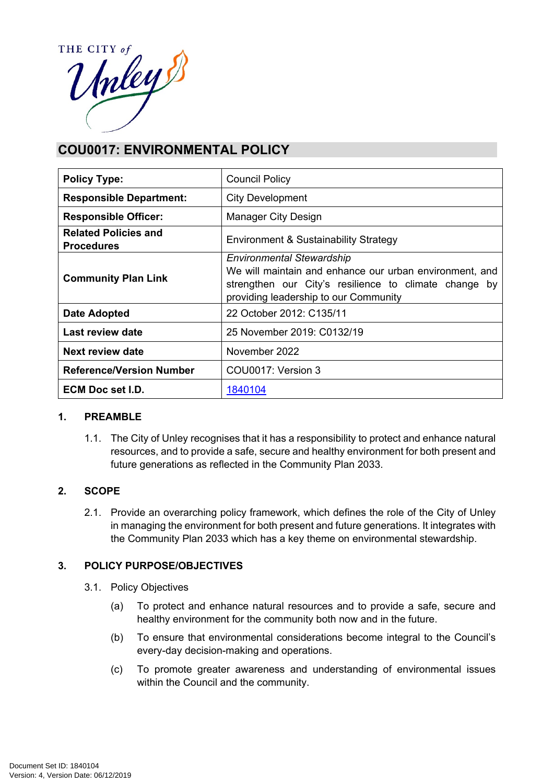

# **COU0017: ENVIRONMENTAL POLICY**

| <b>Policy Type:</b>                              | <b>Council Policy</b>                                                                                                                                                                         |  |
|--------------------------------------------------|-----------------------------------------------------------------------------------------------------------------------------------------------------------------------------------------------|--|
| <b>Responsible Department:</b>                   | <b>City Development</b>                                                                                                                                                                       |  |
| <b>Responsible Officer:</b>                      | Manager City Design                                                                                                                                                                           |  |
| <b>Related Policies and</b><br><b>Procedures</b> | Environment & Sustainability Strategy                                                                                                                                                         |  |
| <b>Community Plan Link</b>                       | <b>Environmental Stewardship</b><br>We will maintain and enhance our urban environment, and<br>strengthen our City's resilience to climate change by<br>providing leadership to our Community |  |
| Date Adopted                                     | 22 October 2012: C135/11                                                                                                                                                                      |  |
| Last review date                                 | 25 November 2019: C0132/19                                                                                                                                                                    |  |
| Next review date                                 | November 2022                                                                                                                                                                                 |  |
| <b>Reference/Version Number</b>                  | COU0017: Version 3                                                                                                                                                                            |  |
| ECM Doc set I.D.                                 | 1840104                                                                                                                                                                                       |  |

# **1. PREAMBLE**

1.1. The City of Unley recognises that it has a responsibility to protect and enhance natural resources, and to provide a safe, secure and healthy environment for both present and future generations as reflected in the Community Plan 2033.

# **2. SCOPE**

2.1. Provide an overarching policy framework, which defines the role of the City of Unley in managing the environment for both present and future generations. It integrates with the Community Plan 2033 which has a key theme on environmental stewardship.

# **3. POLICY PURPOSE/OBJECTIVES**

- 3.1. Policy Objectives
	- (a) To protect and enhance natural resources and to provide a safe, secure and healthy environment for the community both now and in the future.
	- (b) To ensure that environmental considerations become integral to the Council's every-day decision-making and operations.
	- (c) To promote greater awareness and understanding of environmental issues within the Council and the community.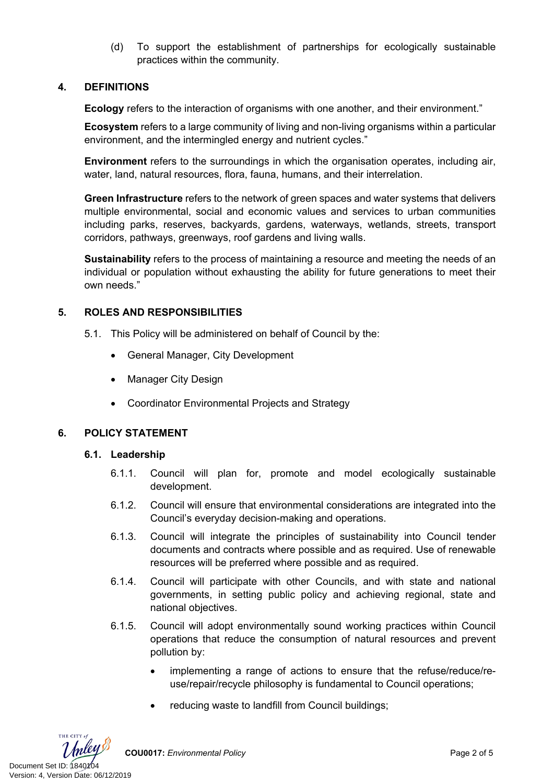(d) To support the establishment of partnerships for ecologically sustainable practices within the community.

## **4. DEFINITIONS**

**Ecology** refers to the interaction of organisms with one another, and their environment."

**Ecosystem** refers to a large community of living and non-living organisms within a particular environment, and the intermingled energy and nutrient cycles."

**Environment** refers to the surroundings in which the organisation operates, including air, water, land, natural resources, flora, fauna, humans, and their interrelation.

**Green Infrastructure** refers to the network of green spaces and water systems that delivers multiple environmental, social and economic values and services to urban communities including parks, reserves, backyards, gardens, waterways, wetlands, streets, transport corridors, pathways, greenways, roof gardens and living walls.

**Sustainability** refers to the process of maintaining a resource and meeting the needs of an individual or population without exhausting the ability for future generations to meet their own needs."

### **5. ROLES AND RESPONSIBILITIES**

- 5.1. This Policy will be administered on behalf of Council by the:
	- General Manager, City Development
	- Manager City Design
	- Coordinator Environmental Projects and Strategy

#### **6. POLICY STATEMENT**

#### **6.1. Leadership**

- 6.1.1. Council will plan for, promote and model ecologically sustainable development.
- 6.1.2. Council will ensure that environmental considerations are integrated into the Council's everyday decision-making and operations.
- 6.1.3. Council will integrate the principles of sustainability into Council tender documents and contracts where possible and as required. Use of renewable resources will be preferred where possible and as required.
- 6.1.4. Council will participate with other Councils, and with state and national governments, in setting public policy and achieving regional, state and national objectives.
- 6.1.5. Council will adopt environmentally sound working practices within Council operations that reduce the consumption of natural resources and prevent pollution by:
	- implementing a range of actions to ensure that the refuse/reduce/reuse/repair/recycle philosophy is fundamental to Council operations;
	- reducing waste to landfill from Council buildings;

THE CITY of Document Set ID: 1840104<br>Version: 4, Version Date: 06/12/2019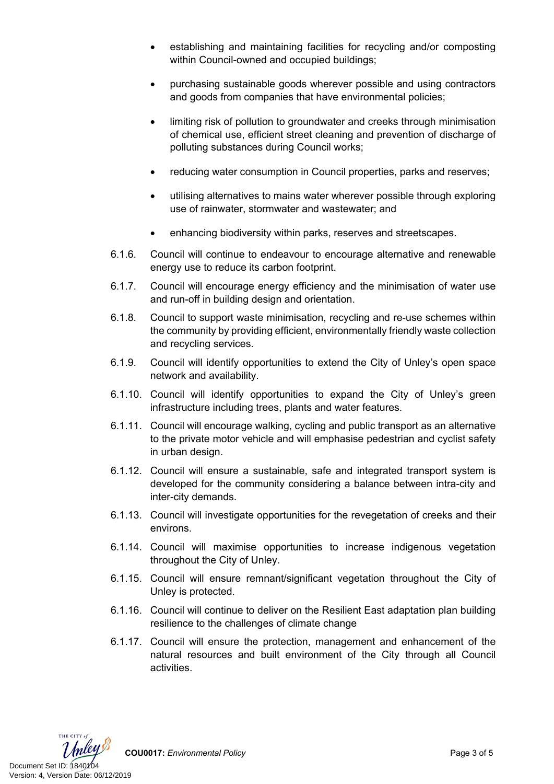- establishing and maintaining facilities for recycling and/or composting within Council-owned and occupied buildings;
- purchasing sustainable goods wherever possible and using contractors and goods from companies that have environmental policies;
- limiting risk of pollution to groundwater and creeks through minimisation of chemical use, efficient street cleaning and prevention of discharge of polluting substances during Council works;
- reducing water consumption in Council properties, parks and reserves;
- utilising alternatives to mains water wherever possible through exploring use of rainwater, stormwater and wastewater; and
- enhancing biodiversity within parks, reserves and streetscapes.
- 6.1.6. Council will continue to endeavour to encourage alternative and renewable energy use to reduce its carbon footprint.
- 6.1.7. Council will encourage energy efficiency and the minimisation of water use and run-off in building design and orientation.
- 6.1.8. Council to support waste minimisation, recycling and re-use schemes within the community by providing efficient, environmentally friendly waste collection and recycling services.
- 6.1.9. Council will identify opportunities to extend the City of Unley's open space network and availability.
- 6.1.10. Council will identify opportunities to expand the City of Unley's green infrastructure including trees, plants and water features.
- 6.1.11. Council will encourage walking, cycling and public transport as an alternative to the private motor vehicle and will emphasise pedestrian and cyclist safety in urban design.
- 6.1.12. Council will ensure a sustainable, safe and integrated transport system is developed for the community considering a balance between intra-city and inter-city demands.
- 6.1.13. Council will investigate opportunities for the revegetation of creeks and their environs.
- 6.1.14. Council will maximise opportunities to increase indigenous vegetation throughout the City of Unley.
- 6.1.15. Council will ensure remnant/significant vegetation throughout the City of Unley is protected.
- 6.1.16. Council will continue to deliver on the Resilient East adaptation plan building resilience to the challenges of climate change
- 6.1.17. Council will ensure the protection, management and enhancement of the natural resources and built environment of the City through all Council activities.



**COU0017:** *Environmental Policy* Page 3 of 5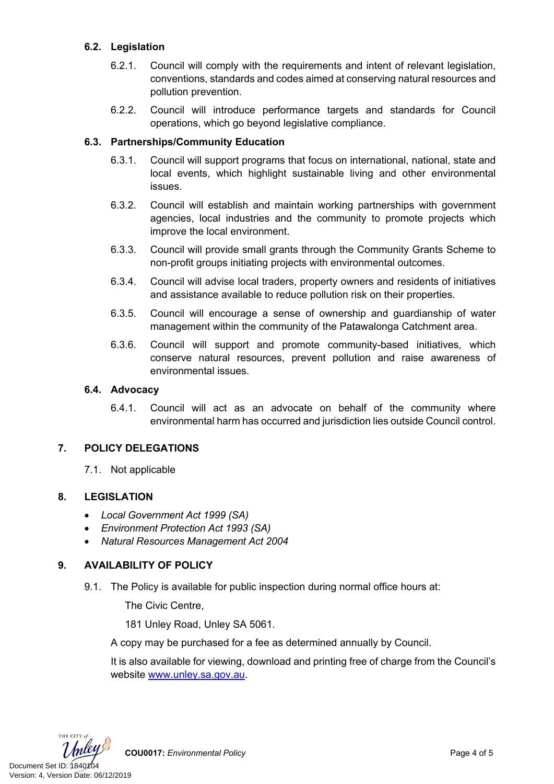# **6.2. Legislation**

- 6.2.1. Council will comply with the requirements and intent of relevant legislation, conventions, standards and codes aimed at conserving natural resources and pollution prevention.
- 6.2.2. Council will introduce performance targets and standards for Council operations, which go beyond legislative compliance.

## **6.3. Partnerships/Community Education**

- 6.3.1. Council will support programs that focus on international, national, state and local events, which highlight sustainable living and other environmental issues.
- 6.3.2. Council will establish and maintain working partnerships with government agencies, local industries and the community to promote projects which improve the local environment.
- 6.3.3. Council will provide small grants through the Community Grants Scheme to non-profit groups initiating projects with environmental outcomes.
- 6.3.4. Council will advise local traders, property owners and residents of initiatives and assistance available to reduce pollution risk on their properties.
- 6.3.5. Council will encourage a sense of ownership and guardianship of water management within the community of the Patawalonga Catchment area.
- 6.3.6. Council will support and promote community-based initiatives, which conserve natural resources, prevent pollution and raise awareness of environmental issues.

#### **6.4. Advocacy**

6.4.1. Council will act as an advocate on behalf of the community where environmental harm has occurred and jurisdiction lies outside Council control.

#### **7. POLICY DELEGATIONS**

7.1. Not applicable

#### **8. LEGISLATION**

- *Local Government Act 1999 (SA)*
- *Environment Protection Act 1993 (SA)*
- *Natural Resources Management Act 2004*

# **9. AVAILABILITY OF POLICY**

9.1. The Policy is available for public inspection during normal office hours at:

The Civic Centre,

181 Unley Road, Unley SA 5061.

A copy may be purchased for a fee as determined annually by Council.

It is also available for viewing, download and printing free of charge from the Council's website [www.unley.sa.gov.au](file://uccfs1.unley.local/Groups/Assets%20and%20Infrastructure/Greening%20Verges%202019/www.unley.sa.gov.au).



**COU0017:** *Environmental Policy* Page 4 of 5